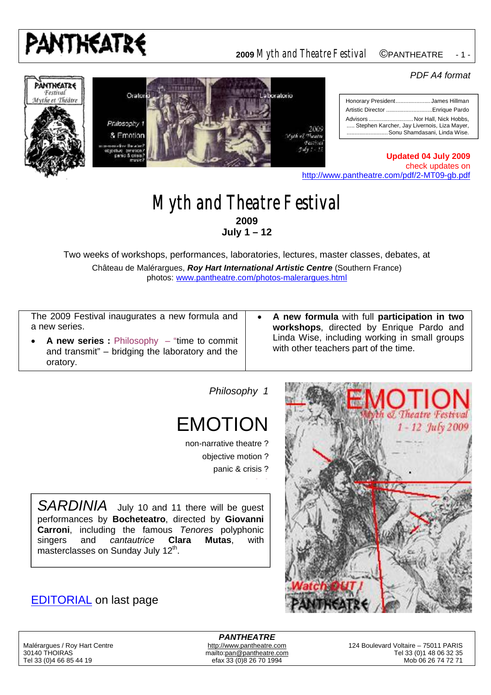

#### **<sup>2009</sup>** *Myth and Theatre Festival* ©PANTHEATRE- 1 -

#### *PDF A4 format*





|                                                                                                                | Honorary PresidentJames Hillman |
|----------------------------------------------------------------------------------------------------------------|---------------------------------|
|                                                                                                                | Artistic Director Enrique Pardo |
| Advisors  Nor Hall, Nick Hobbs,<br>Stephen Karcher, Jay Livernois, Liza Mayer,<br>Sonu Shamdasani. Linda Wise. |                                 |

**Updated 04 July 2009** check updates on <http://www.pantheatre.com/pdf/2-MT09-gb.pdf>

#### *Myth and Theatre Festival* **2009 July 1 – 12**

Two weeks of workshops, performances, laboratories, lectures, master classes, debates, at Château de Malérargues, *Roy Hart International Artistic Centre* (Southern France) photos: [www.pantheatre.com/photos-malerargues.html](http://www.pantheatre.com/photos-malerargues.html)

The 2009 Festival inaugurates a new formula and a new series.

- **A new series :** Philosophy "time to commit and transmit" – bridging the laboratory and the oratory.
- **A new formula** with full **participation in two workshops**, directed by Enrique Pardo and Linda Wise, including working in small groups with other teachers part of the time.

*Philosophy 1*

## EMOTION

non-narrative theatre ? objective motion ? panic & crisis ?

SARDINIA July 10 and 11 there will be guest performances by **Bocheteatro**, directed by **Giovanni Carroni**, including the famous *Tenores* polyphonic singers and *cantautrice* **Clara Mutas**, with masterclasses on Sunday July  $12<sup>th</sup>$ .

#### EDITORIAL on last page



*PANTHEATRE* efax 33 (0)8 26 70 1994

Malérargues / Roy Hart Centre **<http://www.pantheatre.com> 124 Boulevard Voltaire – 75011 PARIS** 30140 THOIRAS <mailto:pan@pantheatre.com> Tel 33 (0)1 48 06 32 35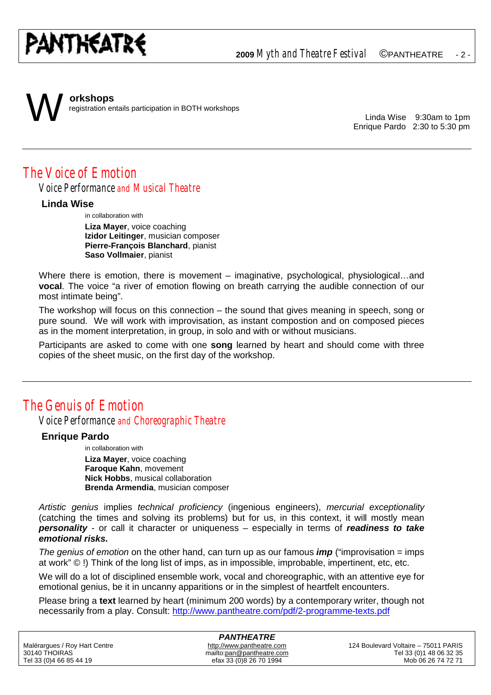## PANTHEATRE

**<sup>2009</sup>** *Myth and Theatre Festival* ©PANTHEATRE- 2 -

# W

**orkshops** registration entails participation in BOTH workshops

> Linda Wise 9:30am to 1pm Enrique Pardo 2:30 to 5:30 pm

### *The Voice of Emotion*

*Voice Performance and Musical Theatre*

#### **Linda Wise**

in collaboration with

**Liza Mayer**, voice coaching **Izidor Leitinger**, musician composer **Pierre-François Blanchard**, pianist **Saso Vollmaier**, pianist

Where there is emotion, there is movement – imaginative, psychological, physiological...and **vocal**. The voice "a river of emotion flowing on breath carrying the audible connection of our most intimate being".

The workshop will focus on this connection – the sound that gives meaning in speech, song or pure sound. We will work with improvisation, as instant compostion and on composed pieces as in the moment interpretation, in group, in solo and with or without musicians.

Participants are asked to come with one **song** learned by heart and should come with three copies of the sheet music, on the first day of the workshop.

## *The Genuis of Emotion*

*Voice Performance and Choreographic Theatre*

#### **Enrique Pardo**

in collaboration with

**Liza Mayer**, voice coaching **Faroque Kahn**, movement **Nick Hobbs**, musical collaboration **Brenda Armendia**, musician composer

*Artistic genius* implies *technical proficiency* (ingenious engineers), *mercurial exceptionality* (catching the times and solving its problems) but for us, in this context, it will mostly mean *personality* - or call it character or uniqueness – especially in terms of *readiness to take emotional risks.*

*The genius of emotion* on the other hand, can turn up as our famous *imp* ("improvisation = imps at work" © !) Think of the long list of imps, as in impossible, improbable, impertinent, etc, etc.

We will do a lot of disciplined ensemble work, vocal and choreographic, with an attentive eye for emotional genius, be it in uncanny apparitions or in the simplest of heartfelt encounters.

Please bring a **text** learned by heart (minimum 200 words) by a contemporary writer, though not necessarily from a play. Consult:<http://www.pantheatre.com/pdf/2-programme-texts.pdf>

| <b>PANTHEATRE</b>             |                           |                                      |  |  |
|-------------------------------|---------------------------|--------------------------------------|--|--|
| Malérargues / Roy Hart Centre | http://www.pantheatre.com | 124 Boulevard Voltaire – 75011 PARIS |  |  |
| 30140 THOIRAS                 | mailto:pan@pantheatre.com | Tel 33 (0) 1 48 06 32 35             |  |  |
| Tel 33 (0)4 66 85 44 19       | efax 33 (0)8 26 70 1994   | Mob 06 26 74 72 71                   |  |  |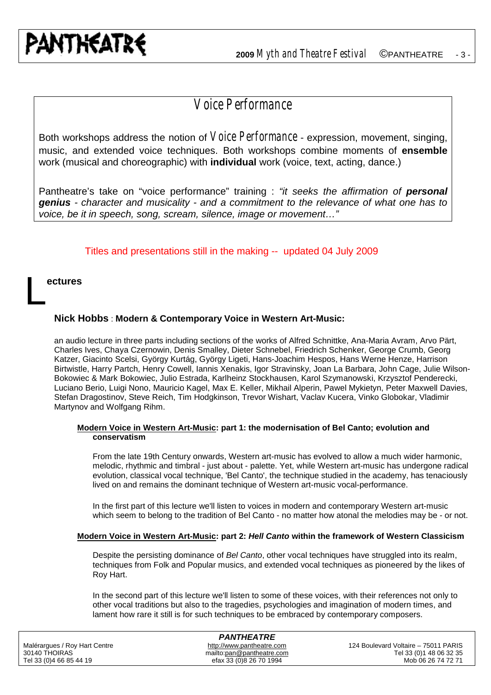## *Voice Performance*

Both workshops address the notion of *Voice Performance* - expression, movement, singing, music, and extended voice techniques. Both workshops combine moments of **ensemble** work (musical and choreographic) with **individual** work (voice, text, acting, dance.)

Pantheatre's take on "voice performance" training : *"it seeks the affirmation of personal genius - character and musicality - and a commitment to the relevance of what one has to voice, be it in speech, song, scream, silence, image or movement…"*

Titles and presentations still in the making -- updated 04 July 2009

#### **ectures**

L

#### **Nick Hobbs** : **Modern & Contemporary Voice in Western Art-Music:**

an audio lecture in three parts including sections of the works of Alfred Schnittke, Ana-Maria Avram, Arvo Pärt, Charles Ives, Chaya Czernowin, Denis Smalley, Dieter Schnebel, Friedrich Schenker, George Crumb, Georg Katzer, Giacinto Scelsi, György Kurtág, György Ligeti, Hans-Joachim Hespos, Hans Werne Henze, Harrison Birtwistle, Harry Partch, Henry Cowell, Iannis Xenakis, Igor Stravinsky, Joan La Barbara, John Cage, Julie Wilson-Bokowiec & Mark Bokowiec, Julio Estrada, Karlheinz Stockhausen, Karol Szymanowski, Krzysztof Penderecki, Luciano Berio, Luigi Nono, Mauricio Kagel, Max E. Keller, Mikhail Alperin, Pawel Mykietyn, Peter Maxwell Davies, Stefan Dragostinov, Steve Reich, Tim Hodgkinson, Trevor Wishart, Vaclav Kucera, Vinko Globokar, Vladimir Martynov and Wolfgang Rihm.

#### **Modern Voice in Western Art-Music: part 1: the modernisation of Bel Canto; evolution and conservatism**

From the late 19th Century onwards, Western art-music has evolved to allow a much wider harmonic, melodic, rhythmic and timbral - just about - palette. Yet, while Western art-music has undergone radical evolution, classical vocal technique, 'Bel Canto', the technique studied in the academy, has tenaciously lived on and remains the dominant technique of Western art-music vocal-performance.

In the first part of this lecture we'll listen to voices in modern and contemporary Western art-music which seem to belong to the tradition of Bel Canto - no matter how atonal the melodies may be - or not.

#### **Modern Voice in Western Art-Music: part 2:** *Hell Canto* **within the framework of Western Classicism**

Despite the persisting dominance of *Bel Canto*, other vocal techniques have struggled into its realm, techniques from Folk and Popular musics, and extended vocal techniques as pioneered by the likes of Roy Hart.

In the second part of this lecture we'll listen to some of these voices, with their references not only to other vocal traditions but also to the tragedies, psychologies and imagination of modern times, and lament how rare it still is for such techniques to be embraced by contemporary composers.

| <b>PANTHEATRE</b>             |                           |                                      |  |  |
|-------------------------------|---------------------------|--------------------------------------|--|--|
| Malérargues / Roy Hart Centre | http://www.pantheatre.com | 124 Boulevard Voltaire – 75011 PARIS |  |  |
| 30140 THOIRAS                 | mailto:pan@pantheatre.com | Tel 33 (0) 1 48 06 32 35             |  |  |
| Tel 33 (0)4 66 85 44 19       | efax 33 (0)8 26 70 1994   | Mob 06 26 74 72 71                   |  |  |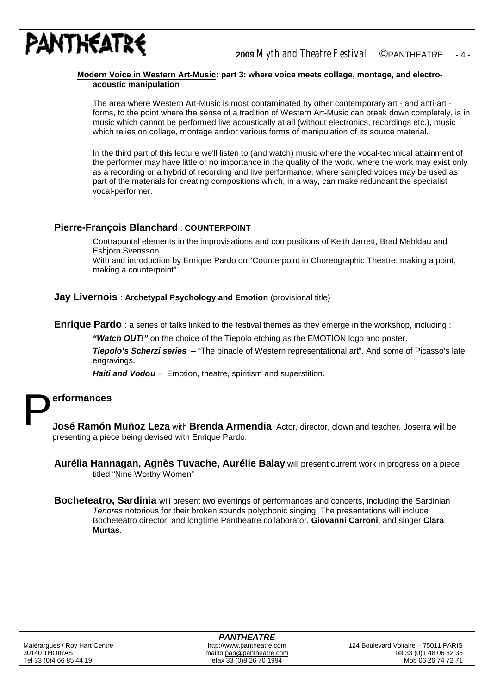

#### **Modern Voice in Western Art-Music: part 3: where voice meets collage, montage, and electroacoustic manipulation**

The area where Western Art-Music is most contaminated by other contemporary art - and anti-art forms, to the point where the sense of a tradition of Western Art-Music can break down completely, is in music which cannot be performed live acoustically at all (without electronics, recordings etc.), music which relies on collage, montage and/or various forms of manipulation of its source material.

In the third part of this lecture we'll listen to (and watch) music where the vocal-technical attainment of the performer may have little or no importance in the quality of the work, where the work may exist only as a recording or a hybrid of recording and live performance, where sampled voices may be used as part of the materials for creating compositions which, in a way, can make redundant the specialist vocal-performer.

#### **Pierre-François Blanchard** : **COUNTERPOINT**

Contrapuntal elements in the improvisations and compositions of Keith Jarrett, Brad Mehldau and Esbjörn Svensson.

With and introduction by Enrique Pardo on "Counterpoint in Choreographic Theatre: making a point, making a counterpoint".

#### **Jay Livernois** : **Archetypal Psychology and Emotion** (provisional title)

**Enrique Pardo** : a series of talks linked to the festival themes as they emerge in the workshop, including :

*"Watch OUT!"* on the choice of the Tiepolo etching as the EMOTION logo and poster.

*Tiepolo's Scherzi series –* "The pinacle of Western representational art". And some of Picasso's late engravings.

*Haiti and Vodou* – Emotion, theatre, spiritism and superstition.

## **erformances** P

**José Ramón Muñoz Leza** with **Brenda Armendia**. Actor, director, clown and teacher, Joserra will be presenting a piece being devised with Enrique Pardo.

- **Aurélia Hannagan, Agnès Tuvache, Aurélie Balay** will present current work in progress on a piece titled "Nine Worthy Women"
- **Bocheteatro, Sardinia** will present two evenings of performances and concerts, including the Sardinian *Tenores* notorious for their broken sounds polyphonic singing. The presentations will include Bocheteatro director, and longtime Pantheatre collaborator, **Giovanni Carroni**, and singer **Clara Murtas**.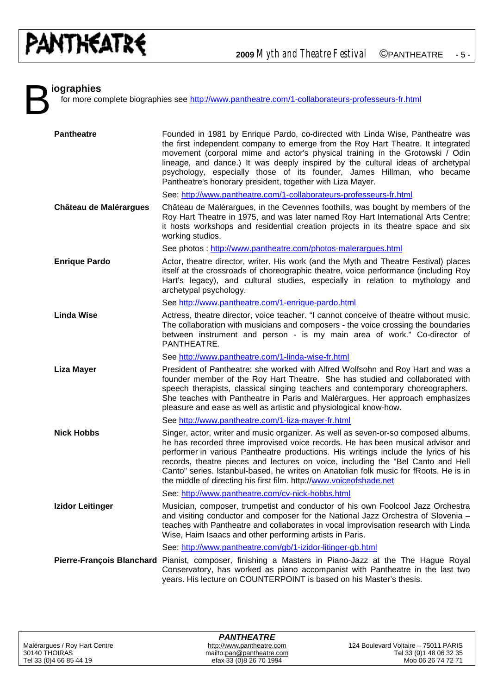B

#### **iographies**

for more complete biographies see <http://www.pantheatre.com/1-collaborateurs-professeurs-fr.html>

| <b>Pantheatre</b>      | Founded in 1981 by Enrique Pardo, co-directed with Linda Wise, Pantheatre was                                                                                                                                                                                                                                                                                                                                                                                                                                    |
|------------------------|------------------------------------------------------------------------------------------------------------------------------------------------------------------------------------------------------------------------------------------------------------------------------------------------------------------------------------------------------------------------------------------------------------------------------------------------------------------------------------------------------------------|
|                        | the first independent company to emerge from the Roy Hart Theatre. It integrated<br>movement (corporal mime and actor's physical training in the Grotowski / Odin<br>lineage, and dance.) It was deeply inspired by the cultural ideas of archetypal<br>psychology, especially those of its founder, James Hillman, who became<br>Pantheatre's honorary president, together with Liza Mayer.                                                                                                                     |
|                        | See: http://www.pantheatre.com/1-collaborateurs-professeurs-fr.html                                                                                                                                                                                                                                                                                                                                                                                                                                              |
| Château de Malérargues | Château de Malérargues, in the Cevennes foothills, was bought by members of the<br>Roy Hart Theatre in 1975, and was later named Roy Hart International Arts Centre;<br>it hosts workshops and residential creation projects in its theatre space and six<br>working studios.                                                                                                                                                                                                                                    |
|                        | See photos: http://www.pantheatre.com/photos-malerargues.html                                                                                                                                                                                                                                                                                                                                                                                                                                                    |
| <b>Enrique Pardo</b>   | Actor, theatre director, writer. His work (and the Myth and Theatre Festival) places<br>itself at the crossroads of choreographic theatre, voice performance (including Roy<br>Hart's legacy), and cultural studies, especially in relation to mythology and<br>archetypal psychology.                                                                                                                                                                                                                           |
|                        | See http://www.pantheatre.com/1-enrique-pardo.html                                                                                                                                                                                                                                                                                                                                                                                                                                                               |
| <b>Linda Wise</b>      | Actress, theatre director, voice teacher. "I cannot conceive of theatre without music.<br>The collaboration with musicians and composers - the voice crossing the boundaries<br>between instrument and person - is my main area of work." Co-director of<br>PANTHEATRE.                                                                                                                                                                                                                                          |
|                        | See http://www.pantheatre.com/1-linda-wise-fr.html                                                                                                                                                                                                                                                                                                                                                                                                                                                               |
| <b>Liza Mayer</b>      | President of Pantheatre: she worked with Alfred Wolfsohn and Roy Hart and was a<br>founder member of the Roy Hart Theatre. She has studied and collaborated with<br>speech therapists, classical singing teachers and contemporary choreographers.<br>She teaches with Pantheatre in Paris and Malérargues. Her approach emphasizes<br>pleasure and ease as well as artistic and physiological know-how.                                                                                                         |
|                        | See http://www.pantheatre.com/1-liza-mayer-fr.html                                                                                                                                                                                                                                                                                                                                                                                                                                                               |
| <b>Nick Hobbs</b>      | Singer, actor, writer and music organizer. As well as seven-or-so composed albums,<br>he has recorded three improvised voice records. He has been musical advisor and<br>performer in various Pantheatre productions. His writings include the lyrics of his<br>records, theatre pieces and lectures on voice, including the "Bel Canto and Hell<br>Canto" series. Istanbul-based, he writes on Anatolian folk music for fRoots. He is in<br>the middle of directing his first film. http://www.voiceofshade.net |
|                        | See: http://www.pantheatre.com/cv-nick-hobbs.html                                                                                                                                                                                                                                                                                                                                                                                                                                                                |
| Izidor Leitinger       | Musician, composer, trumpetist and conductor of his own Foolcool Jazz Orchestra<br>and visiting conductor and composer for the National Jazz Orchestra of Slovenia -<br>teaches with Pantheatre and collaborates in vocal improvisation research with Linda<br>Wise, Haim Isaacs and other performing artists in Paris.                                                                                                                                                                                          |
|                        | See: http://www.pantheatre.com/gb/1-izidor-litinger-gb.html                                                                                                                                                                                                                                                                                                                                                                                                                                                      |
|                        | Pierre-François Blanchard Pianist, composer, finishing a Masters in Piano-Jazz at the The Hague Royal<br>Conservatory, has worked as piano accompanist with Pantheatre in the last two<br>years. His lecture on COUNTERPOINT is based on his Master's thesis.                                                                                                                                                                                                                                                    |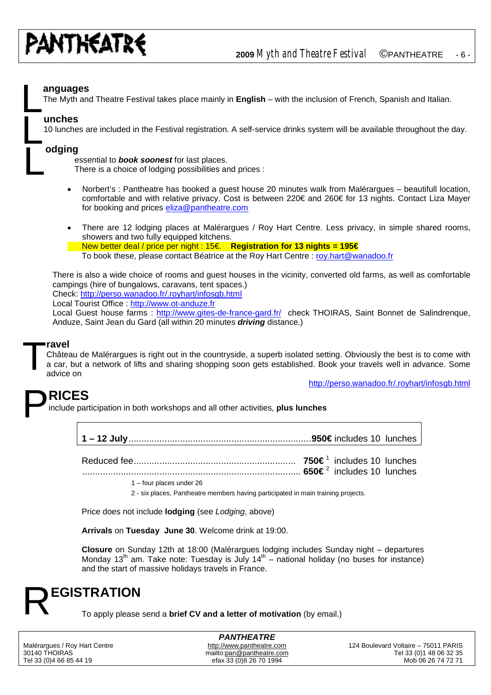

## **anguages** L

The Myth and Theatre Festival takes place mainly in **English** – with the inclusion of French, Spanish and Italian.

#### **unches**

L

L

10 lunches are included in the Festival registration. A self-service drinks system will be available throughout the day.

#### **odging**

essential to *book soonest* for last places.

There is a choice of lodging possibilities and prices :

- Norbert's : Pantheatre has booked a guest house 20 minutes walk from Malérargues beautifull location, comfortable and with relative privacy. Cost is between 220€ and 260€ for 13 nights. Contact Liza Mayer for booking and prices [eliza@pantheatre.com](mailto:eliza@pantheatre.com)
- There are 12 lodging places at Malérargues / Roy Hart Centre. Less privacy, in simple shared rooms, showers and two fully equipped kitchens. New better deal / price per night : 15€. **Registration for 13 nights = 195€** To book these, please contact Béatrice at the Roy Hart Centre : [roy.hart@wanadoo.fr](mailto:roy.hart@wanadoo.fr)

There is also a wide choice of rooms and guest houses in the vicinity, converted old farms, as well as comfortable campings (hire of bungalows, caravans, tent spaces.) Check: <http://perso.wanadoo.fr/.royhart/infosgb.html>

Local Tourist Office :<http://www.ot-anduze.fr>

Local Guest house farms : [http://www.gites-de-france-gard.fr/ c](http://www.gites-de-france-gard.fr/)heck THOIRAS, Saint Bonnet de Salindrenque, Anduze, Saint Jean du Gard (all within 20 minutes *driving* distance.)

## **ravel** T

Château de Malérargues is right out in the countryside, a superb isolated setting. Obviously the best is to come with a car, but a network of lifts and sharing shopping soon gets established. Book your travels well in advance. Some advice on

<http://perso.wanadoo.fr/.royhart/infosgb.html>

## **RICES** P

include participation in both workshops and all other activities, **plus lunches**

**1 – 12 July**.......................................................................**950€** includes 10 lunches

Reduced fee............................................................... **750€** <sup>1</sup> includes 10 lunches

..................................................................................... **650€** <sup>2</sup> includes 10 lunches

1 – four places under 26

2 - six places, Pantheatre members having participated in main training projects.

Price does not include **lodging** (see *Lodging*, above)

**Arrivals** on **Tuesday June 30**. Welcome drink at 19:00.

**Closure** on Sunday 12th at 18:00 (Malérargues lodging includes Sunday night – departures Monday 13<sup>th</sup> am. Take note: Tuesday is July 14<sup>th</sup> – national holiday (no buses for instance) and the start of massive holidays travels in France.

## **EGISTRATION** R

To apply please send a **brief CV and a letter of motivation** (by email.)

*PANTHEATRE* efax 33 (0)8 26 70 1994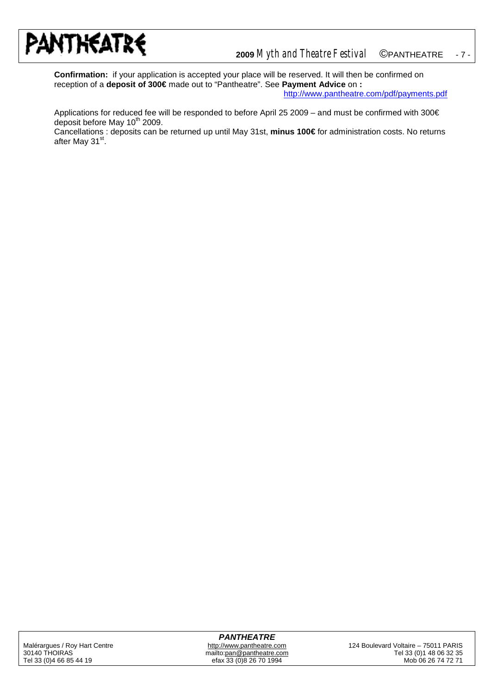

**Confirmation:** if your application is accepted your place will be reserved. It will then be confirmed on reception of a **deposit of 300€** made out to "Pantheatre". See **Payment Advice** on **:** <http://www.pantheatre.com/pdf/payments.pdf>

Applications for reduced fee will be responded to before April 25 2009 – and must be confirmed with 300€ deposit before May  $10^{th}$  2009.

Cancellations : deposits can be returned up until May 31st, **minus 100€** for administration costs. No returns after May 31<sup>st</sup>.

#### *PANTHEATRE*

efax 33 (0)8 26 70 1994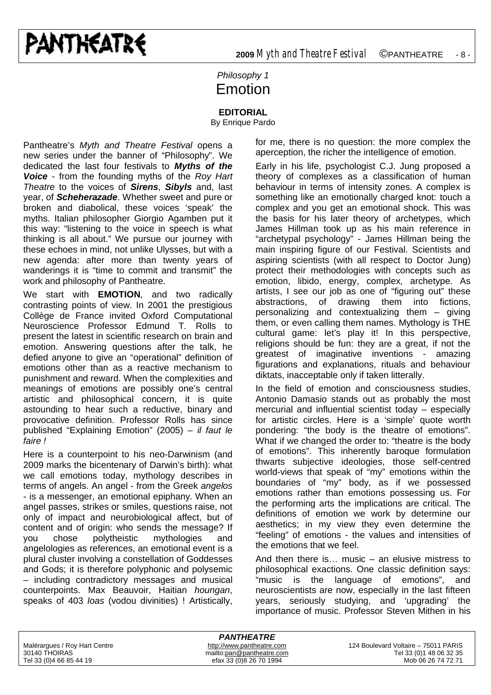#### *Philosophy 1* Emotion

#### **EDITORIAL**

By Enrique Pardo

Pantheatre's *Myth and Theatre Festival* opens a new series under the banner of "Philosophy". We dedicated the last four festivals to *Myths of the Voice* - from the founding myths of the *Roy Hart Theatre* to the voices of *Sirens*, *Sibyls* and, last year, of *Scheherazade*. Whether sweet and pure or broken and diabolical, these voices 'speak' the myths. Italian philosopher Giorgio Agamben put it this way: "listening to the voice in speech is what thinking is all about." We pursue our journey with these echoes in mind, not unlike Ulysses, but with a new agenda: after more than twenty years of wanderings it is "time to commit and transmit" the work and philosophy of Pantheatre.

We start with **EMOTION**, and two radically contrasting points of view. In 2001 the prestigious Collège de France invited Oxford Computational Neuroscience Professor Edmund T*.* Rolls to present the latest in scientific research on brain and emotion. Answering questions after the talk, he defied anyone to give an "operational" definition of emotions other than as a reactive mechanism to punishment and reward. When the complexities and meanings of emotions are possibly one's central artistic and philosophical concern, it is quite astounding to hear such a reductive, binary and provocative definition. Professor Rolls has since published "Explaining Emotion" (2005) – *il faut le faire !*

Here is a counterpoint to his neo-Darwinism (and 2009 marks the bicentenary of Darwin's birth): what we call emotions today, mythology describes in terms of angels. An angel - from the Greek *angelos* - is a messenger, an emotional epiphany. When an angel passes, strikes or smiles, questions raise, not only of impact and neurobiological affect, but of content and of origin: who sends the message? If you chose polytheistic mythologies and angelologies as references, an emotional event is a plural cluster involving a constellation of Goddesses and Gods; it is therefore polyphonic and polysemic – including contradictory messages and musical counterpoints. Max Beauvoir, Haitian *houngan*, speaks of 403 *loas* (vodou divinities) ! Artistically,

for me, there is no question: the more complex the aperception, the richer the intelligence of emotion.

Early in his life, psychologist C.J. Jung proposed a theory of complexes as a classification of human behaviour in terms of intensity zones. A complex is something like an emotionally charged knot: touch a complex and you get an emotional shock. This was the basis for his later theory of archetypes, which James Hillman took up as his main reference in "archetypal psychology" - James Hillman being the main inspiring figure of our Festival. Scientists and aspiring scientists (with all respect to Doctor Jung) protect their methodologies with concepts such as emotion, libido, energy, complex, archetype. As artists, I see our job as one of "figuring out" these abstractions, of drawing them into fictions, personalizing and contextualizing them – giving them, or even calling them names. Mythology is THE cultural game: let's play it! In this perspective, religions should be fun: they are a great, if not the greatest of imaginative inventions - amazing figurations and explanations, rituals and behaviour diktats, inacceptable only if taken litterally.

In the field of emotion and consciousness studies, Antonio Damasio stands out as probably the most mercurial and influential scientist today – especially for artistic circles. Here is a 'simple' quote worth pondering: "the body is the theatre of emotions". What if we changed the order to: "theatre is the body of emotions". This inherently baroque formulation thwarts subjective ideologies, those self-centred world-views that speak of "my" emotions within the boundaries of "my" body, as if we possessed emotions rather than emotions possessing us. For the performing arts the implications are critical. The definitions of emotion we work by determine our aesthetics; in my view they even determine the "feeling" of emotions - the values and intensities of the emotions that we feel.

And then there is… music – an elusive mistress to philosophical exactions. One classic definition says: "music is the language of emotions", and neuroscientists are now, especially in the last fifteen years, seriously studying, and 'upgrading' the importance of music. Professor Steven Mithen in his

| <b>PANTHEATRE</b>             |                           |                                      |  |
|-------------------------------|---------------------------|--------------------------------------|--|
| Malérarques / Roy Hart Centre | http://www.pantheatre.com | 124 Boulevard Voltaire - 75011 PARIS |  |
| 30140 THOIRAS                 | mailto:pan@pantheatre.com | Tel 33 (0) 1 48 06 32 35             |  |
| Tel 33 (0)4 66 85 44 19       | efax 33 (0)8 26 70 1994   | Mob 06 26 74 72 71                   |  |